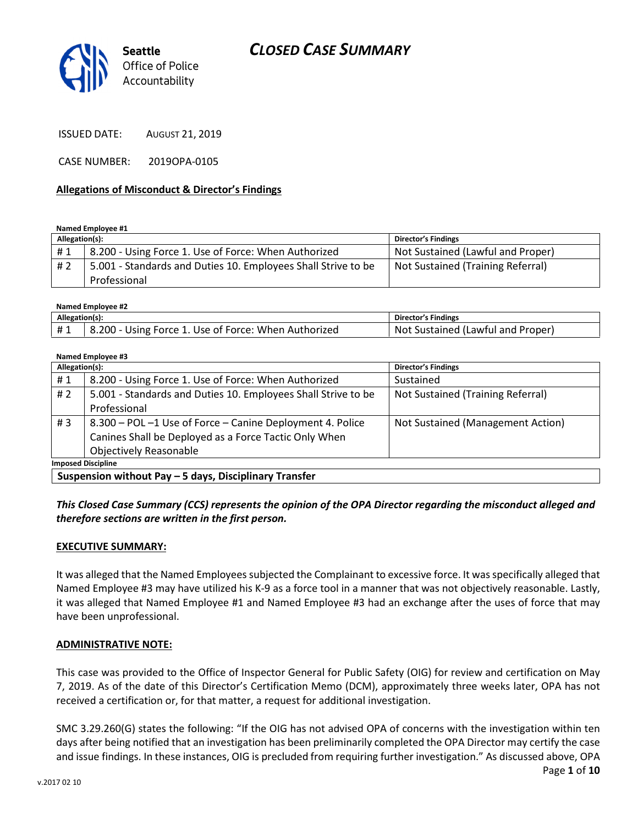

ISSUED DATE: AUGUST 21, 2019

CASE NUMBER: 2019OPA-0105

#### Allegations of Misconduct & Director's Findings

Named Employee #1

| Allegation(s): |                                                                               | <b>Director's Findings</b>        |
|----------------|-------------------------------------------------------------------------------|-----------------------------------|
| #1             | 8.200 - Using Force 1. Use of Force: When Authorized                          | Not Sustained (Lawful and Proper) |
| # 2            | 5.001 - Standards and Duties 10. Employees Shall Strive to be<br>Professional | Not Sustained (Training Referral) |

Named Employee #2

| Allegation(s): |                                                      | <b>Director's Findings</b>        |
|----------------|------------------------------------------------------|-----------------------------------|
| #1             | 8.200 - Using Force 1. Use of Force: When Authorized | Not Sustained (Lawful and Proper) |

#### Named Employee #3

| Allegation(s):            |                                                               | <b>Director's Findings</b>        |  |
|---------------------------|---------------------------------------------------------------|-----------------------------------|--|
| #1                        | 8.200 - Using Force 1. Use of Force: When Authorized          | Sustained                         |  |
| # $2$                     | 5.001 - Standards and Duties 10. Employees Shall Strive to be | Not Sustained (Training Referral) |  |
|                           | Professional                                                  |                                   |  |
| # $3$                     | 8.300 - POL -1 Use of Force - Canine Deployment 4. Police     | Not Sustained (Management Action) |  |
|                           | Canines Shall be Deployed as a Force Tactic Only When         |                                   |  |
|                           | <b>Objectively Reasonable</b>                                 |                                   |  |
| <b>Imposed Discipline</b> |                                                               |                                   |  |
|                           |                                                               |                                   |  |

Suspension without Pay – 5 days, Disciplinary Transfer

This Closed Case Summary (CCS) represents the opinion of the OPA Director regarding the misconduct alleged and therefore sections are written in the first person.

#### EXECUTIVE SUMMARY:

It was alleged that the Named Employees subjected the Complainant to excessive force. It was specifically alleged that Named Employee #3 may have utilized his K-9 as a force tool in a manner that was not objectively reasonable. Lastly, it was alleged that Named Employee #1 and Named Employee #3 had an exchange after the uses of force that may have been unprofessional.

#### ADMINISTRATIVE NOTE:

This case was provided to the Office of Inspector General for Public Safety (OIG) for review and certification on May 7, 2019. As of the date of this Director's Certification Memo (DCM), approximately three weeks later, OPA has not received a certification or, for that matter, a request for additional investigation.

Page 1 of 10 SMC 3.29.260(G) states the following: "If the OIG has not advised OPA of concerns with the investigation within ten days after being notified that an investigation has been preliminarily completed the OPA Director may certify the case and issue findings. In these instances, OIG is precluded from requiring further investigation." As discussed above, OPA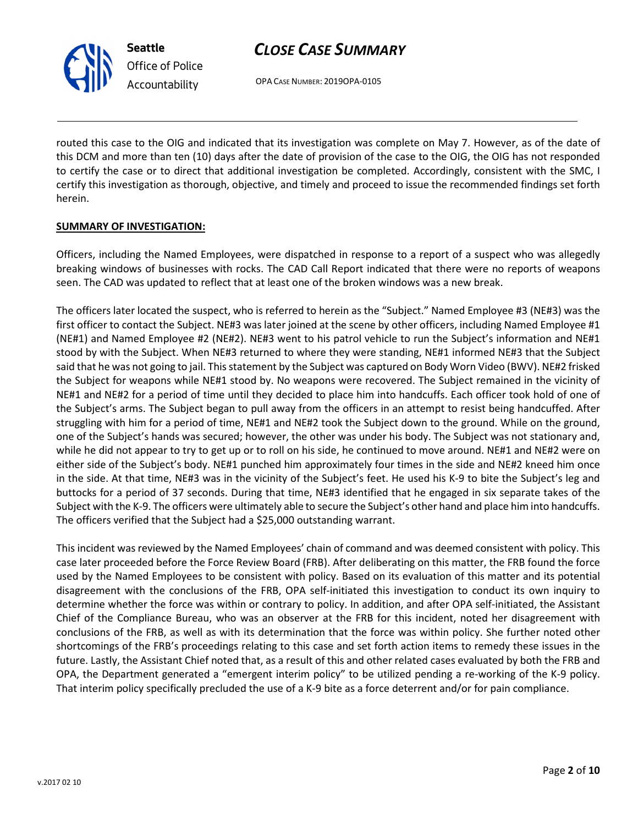OPA CASE NUMBER: 2019OPA-0105

routed this case to the OIG and indicated that its investigation was complete on May 7. However, as of the date of this DCM and more than ten (10) days after the date of provision of the case to the OIG, the OIG has not responded to certify the case or to direct that additional investigation be completed. Accordingly, consistent with the SMC, I certify this investigation as thorough, objective, and timely and proceed to issue the recommended findings set forth herein.

### SUMMARY OF INVESTIGATION:

Seattle

Office of Police Accountability

Officers, including the Named Employees, were dispatched in response to a report of a suspect who was allegedly breaking windows of businesses with rocks. The CAD Call Report indicated that there were no reports of weapons seen. The CAD was updated to reflect that at least one of the broken windows was a new break.

The officers later located the suspect, who is referred to herein as the "Subject." Named Employee #3 (NE#3) was the first officer to contact the Subject. NE#3 was later joined at the scene by other officers, including Named Employee #1 (NE#1) and Named Employee #2 (NE#2). NE#3 went to his patrol vehicle to run the Subject's information and NE#1 stood by with the Subject. When NE#3 returned to where they were standing, NE#1 informed NE#3 that the Subject said that he was not going to jail. This statement by the Subject was captured on Body Worn Video (BWV). NE#2 frisked the Subject for weapons while NE#1 stood by. No weapons were recovered. The Subject remained in the vicinity of NE#1 and NE#2 for a period of time until they decided to place him into handcuffs. Each officer took hold of one of the Subject's arms. The Subject began to pull away from the officers in an attempt to resist being handcuffed. After struggling with him for a period of time, NE#1 and NE#2 took the Subject down to the ground. While on the ground, one of the Subject's hands was secured; however, the other was under his body. The Subject was not stationary and, while he did not appear to try to get up or to roll on his side, he continued to move around. NE#1 and NE#2 were on either side of the Subject's body. NE#1 punched him approximately four times in the side and NE#2 kneed him once in the side. At that time, NE#3 was in the vicinity of the Subject's feet. He used his K-9 to bite the Subject's leg and buttocks for a period of 37 seconds. During that time, NE#3 identified that he engaged in six separate takes of the Subject with the K-9. The officers were ultimately able to secure the Subject's other hand and place him into handcuffs. The officers verified that the Subject had a \$25,000 outstanding warrant.

This incident was reviewed by the Named Employees' chain of command and was deemed consistent with policy. This case later proceeded before the Force Review Board (FRB). After deliberating on this matter, the FRB found the force used by the Named Employees to be consistent with policy. Based on its evaluation of this matter and its potential disagreement with the conclusions of the FRB, OPA self-initiated this investigation to conduct its own inquiry to determine whether the force was within or contrary to policy. In addition, and after OPA self-initiated, the Assistant Chief of the Compliance Bureau, who was an observer at the FRB for this incident, noted her disagreement with conclusions of the FRB, as well as with its determination that the force was within policy. She further noted other shortcomings of the FRB's proceedings relating to this case and set forth action items to remedy these issues in the future. Lastly, the Assistant Chief noted that, as a result of this and other related cases evaluated by both the FRB and OPA, the Department generated a "emergent interim policy" to be utilized pending a re-working of the K-9 policy. That interim policy specifically precluded the use of a K-9 bite as a force deterrent and/or for pain compliance.

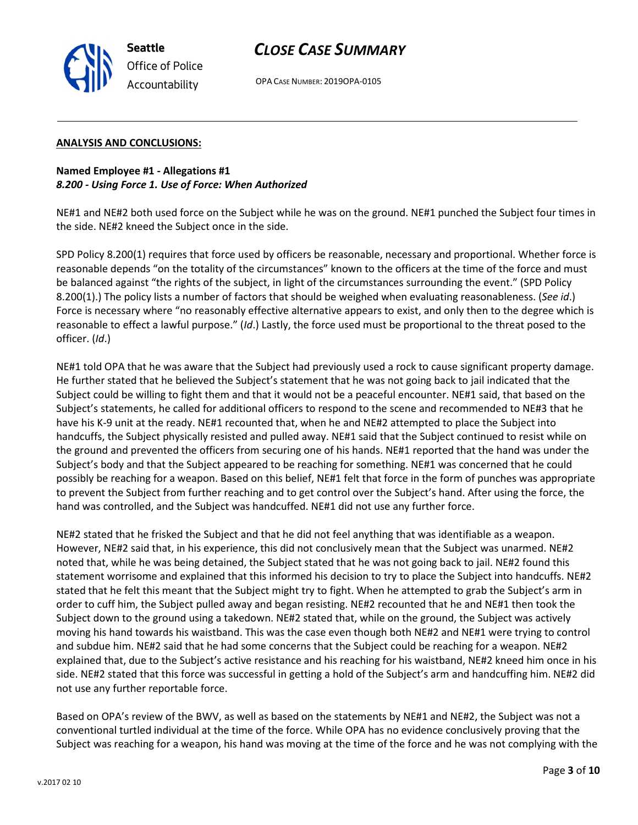OPA CASE NUMBER: 2019OPA-0105

### ANALYSIS AND CONCLUSIONS:

Seattle

Office of Police Accountability

Named Employee #1 - Allegations #1 8.200 - Using Force 1. Use of Force: When Authorized

NE#1 and NE#2 both used force on the Subject while he was on the ground. NE#1 punched the Subject four times in the side. NE#2 kneed the Subject once in the side.

SPD Policy 8.200(1) requires that force used by officers be reasonable, necessary and proportional. Whether force is reasonable depends "on the totality of the circumstances" known to the officers at the time of the force and must be balanced against "the rights of the subject, in light of the circumstances surrounding the event." (SPD Policy 8.200(1).) The policy lists a number of factors that should be weighed when evaluating reasonableness. (See id.) Force is necessary where "no reasonably effective alternative appears to exist, and only then to the degree which is reasonable to effect a lawful purpose." (Id.) Lastly, the force used must be proportional to the threat posed to the officer. (Id.)

NE#1 told OPA that he was aware that the Subject had previously used a rock to cause significant property damage. He further stated that he believed the Subject's statement that he was not going back to jail indicated that the Subject could be willing to fight them and that it would not be a peaceful encounter. NE#1 said, that based on the Subject's statements, he called for additional officers to respond to the scene and recommended to NE#3 that he have his K-9 unit at the ready. NE#1 recounted that, when he and NE#2 attempted to place the Subject into handcuffs, the Subject physically resisted and pulled away. NE#1 said that the Subject continued to resist while on the ground and prevented the officers from securing one of his hands. NE#1 reported that the hand was under the Subject's body and that the Subject appeared to be reaching for something. NE#1 was concerned that he could possibly be reaching for a weapon. Based on this belief, NE#1 felt that force in the form of punches was appropriate to prevent the Subject from further reaching and to get control over the Subject's hand. After using the force, the hand was controlled, and the Subject was handcuffed. NE#1 did not use any further force.

NE#2 stated that he frisked the Subject and that he did not feel anything that was identifiable as a weapon. However, NE#2 said that, in his experience, this did not conclusively mean that the Subject was unarmed. NE#2 noted that, while he was being detained, the Subject stated that he was not going back to jail. NE#2 found this statement worrisome and explained that this informed his decision to try to place the Subject into handcuffs. NE#2 stated that he felt this meant that the Subject might try to fight. When he attempted to grab the Subject's arm in order to cuff him, the Subject pulled away and began resisting. NE#2 recounted that he and NE#1 then took the Subject down to the ground using a takedown. NE#2 stated that, while on the ground, the Subject was actively moving his hand towards his waistband. This was the case even though both NE#2 and NE#1 were trying to control and subdue him. NE#2 said that he had some concerns that the Subject could be reaching for a weapon. NE#2 explained that, due to the Subject's active resistance and his reaching for his waistband, NE#2 kneed him once in his side. NE#2 stated that this force was successful in getting a hold of the Subject's arm and handcuffing him. NE#2 did not use any further reportable force.

Based on OPA's review of the BWV, as well as based on the statements by NE#1 and NE#2, the Subject was not a conventional turtled individual at the time of the force. While OPA has no evidence conclusively proving that the Subject was reaching for a weapon, his hand was moving at the time of the force and he was not complying with the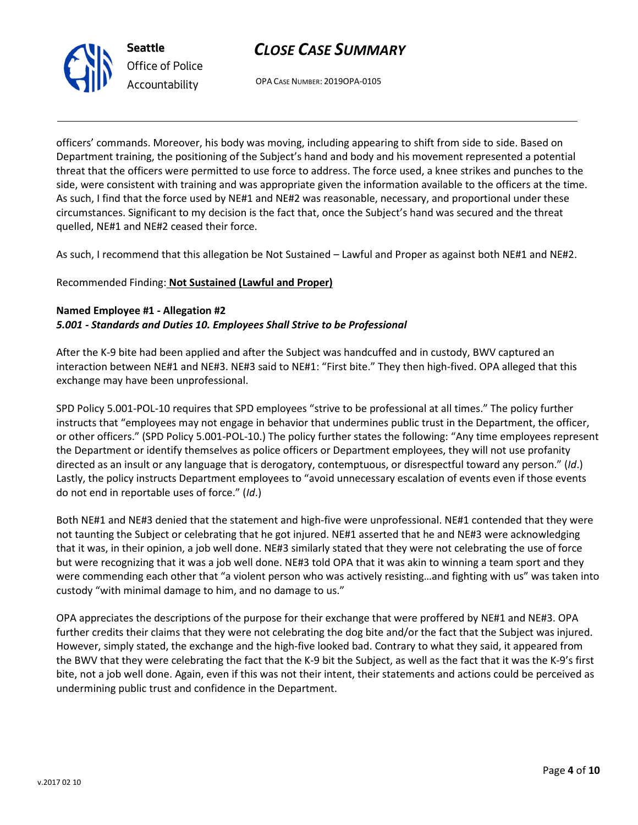



OPA CASE NUMBER: 2019OPA-0105

officers' commands. Moreover, his body was moving, including appearing to shift from side to side. Based on Department training, the positioning of the Subject's hand and body and his movement represented a potential threat that the officers were permitted to use force to address. The force used, a knee strikes and punches to the side, were consistent with training and was appropriate given the information available to the officers at the time. As such, I find that the force used by NE#1 and NE#2 was reasonable, necessary, and proportional under these circumstances. Significant to my decision is the fact that, once the Subject's hand was secured and the threat quelled, NE#1 and NE#2 ceased their force.

As such, I recommend that this allegation be Not Sustained – Lawful and Proper as against both NE#1 and NE#2.

## Recommended Finding: Not Sustained (Lawful and Proper)

## Named Employee #1 - Allegation #2 5.001 - Standards and Duties 10. Employees Shall Strive to be Professional

After the K-9 bite had been applied and after the Subject was handcuffed and in custody, BWV captured an interaction between NE#1 and NE#3. NE#3 said to NE#1: "First bite." They then high-fived. OPA alleged that this exchange may have been unprofessional.

SPD Policy 5.001-POL-10 requires that SPD employees "strive to be professional at all times." The policy further instructs that "employees may not engage in behavior that undermines public trust in the Department, the officer, or other officers." (SPD Policy 5.001-POL-10.) The policy further states the following: "Any time employees represent the Department or identify themselves as police officers or Department employees, they will not use profanity directed as an insult or any language that is derogatory, contemptuous, or disrespectful toward any person." (Id.) Lastly, the policy instructs Department employees to "avoid unnecessary escalation of events even if those events do not end in reportable uses of force." (Id.)

Both NE#1 and NE#3 denied that the statement and high-five were unprofessional. NE#1 contended that they were not taunting the Subject or celebrating that he got injured. NE#1 asserted that he and NE#3 were acknowledging that it was, in their opinion, a job well done. NE#3 similarly stated that they were not celebrating the use of force but were recognizing that it was a job well done. NE#3 told OPA that it was akin to winning a team sport and they were commending each other that "a violent person who was actively resisting…and fighting with us" was taken into custody "with minimal damage to him, and no damage to us."

OPA appreciates the descriptions of the purpose for their exchange that were proffered by NE#1 and NE#3. OPA further credits their claims that they were not celebrating the dog bite and/or the fact that the Subject was injured. However, simply stated, the exchange and the high-five looked bad. Contrary to what they said, it appeared from the BWV that they were celebrating the fact that the K-9 bit the Subject, as well as the fact that it was the K-9's first bite, not a job well done. Again, even if this was not their intent, their statements and actions could be perceived as undermining public trust and confidence in the Department.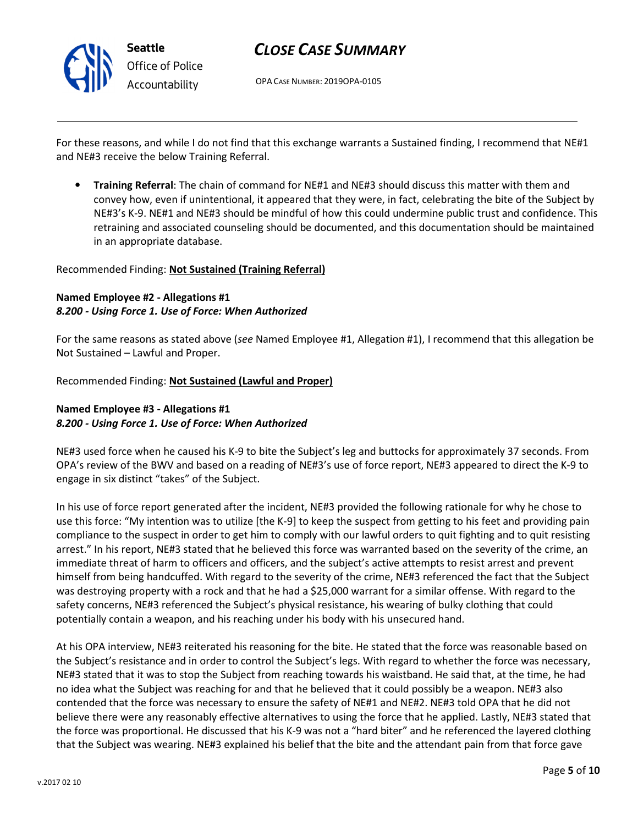

OPA CASE NUMBER: 2019OPA-0105

For these reasons, and while I do not find that this exchange warrants a Sustained finding, I recommend that NE#1 and NE#3 receive the below Training Referral.

• Training Referral: The chain of command for NE#1 and NE#3 should discuss this matter with them and convey how, even if unintentional, it appeared that they were, in fact, celebrating the bite of the Subject by NE#3's K-9. NE#1 and NE#3 should be mindful of how this could undermine public trust and confidence. This retraining and associated counseling should be documented, and this documentation should be maintained in an appropriate database.

### Recommended Finding: Not Sustained (Training Referral)

## Named Employee #2 - Allegations #1 8.200 - Using Force 1. Use of Force: When Authorized

For the same reasons as stated above (see Named Employee #1, Allegation #1), I recommend that this allegation be Not Sustained – Lawful and Proper.

Recommended Finding: Not Sustained (Lawful and Proper)

## Named Employee #3 - Allegations #1 8.200 - Using Force 1. Use of Force: When Authorized

NE#3 used force when he caused his K-9 to bite the Subject's leg and buttocks for approximately 37 seconds. From OPA's review of the BWV and based on a reading of NE#3's use of force report, NE#3 appeared to direct the K-9 to engage in six distinct "takes" of the Subject.

In his use of force report generated after the incident, NE#3 provided the following rationale for why he chose to use this force: "My intention was to utilize [the K-9] to keep the suspect from getting to his feet and providing pain compliance to the suspect in order to get him to comply with our lawful orders to quit fighting and to quit resisting arrest." In his report, NE#3 stated that he believed this force was warranted based on the severity of the crime, an immediate threat of harm to officers and officers, and the subject's active attempts to resist arrest and prevent himself from being handcuffed. With regard to the severity of the crime, NE#3 referenced the fact that the Subject was destroying property with a rock and that he had a \$25,000 warrant for a similar offense. With regard to the safety concerns, NE#3 referenced the Subject's physical resistance, his wearing of bulky clothing that could potentially contain a weapon, and his reaching under his body with his unsecured hand.

At his OPA interview, NE#3 reiterated his reasoning for the bite. He stated that the force was reasonable based on the Subject's resistance and in order to control the Subject's legs. With regard to whether the force was necessary, NE#3 stated that it was to stop the Subject from reaching towards his waistband. He said that, at the time, he had no idea what the Subject was reaching for and that he believed that it could possibly be a weapon. NE#3 also contended that the force was necessary to ensure the safety of NE#1 and NE#2. NE#3 told OPA that he did not believe there were any reasonably effective alternatives to using the force that he applied. Lastly, NE#3 stated that the force was proportional. He discussed that his K-9 was not a "hard biter" and he referenced the layered clothing that the Subject was wearing. NE#3 explained his belief that the bite and the attendant pain from that force gave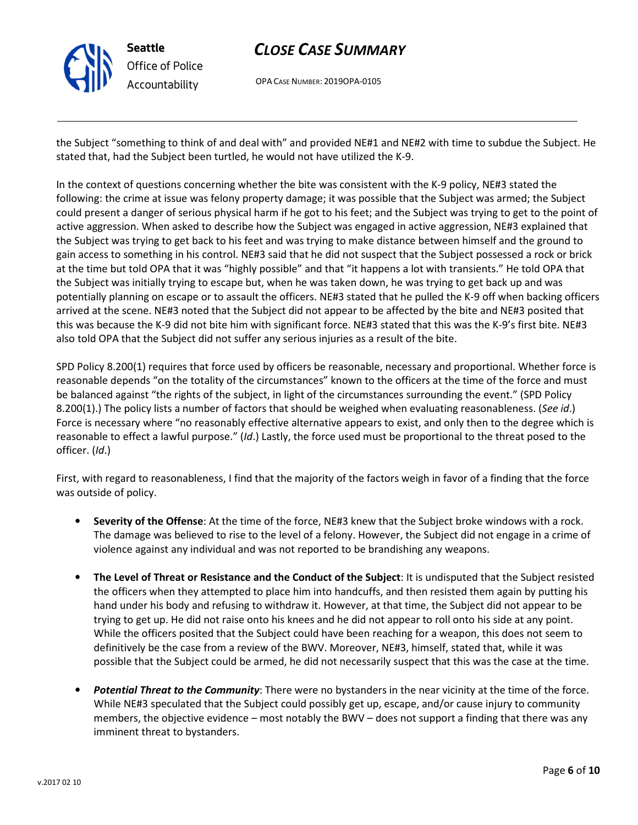

OPA CASE NUMBER: 2019OPA-0105

the Subject "something to think of and deal with" and provided NE#1 and NE#2 with time to subdue the Subject. He stated that, had the Subject been turtled, he would not have utilized the K-9.

In the context of questions concerning whether the bite was consistent with the K-9 policy, NE#3 stated the following: the crime at issue was felony property damage; it was possible that the Subject was armed; the Subject could present a danger of serious physical harm if he got to his feet; and the Subject was trying to get to the point of active aggression. When asked to describe how the Subject was engaged in active aggression, NE#3 explained that the Subject was trying to get back to his feet and was trying to make distance between himself and the ground to gain access to something in his control. NE#3 said that he did not suspect that the Subject possessed a rock or brick at the time but told OPA that it was "highly possible" and that "it happens a lot with transients." He told OPA that the Subject was initially trying to escape but, when he was taken down, he was trying to get back up and was potentially planning on escape or to assault the officers. NE#3 stated that he pulled the K-9 off when backing officers arrived at the scene. NE#3 noted that the Subject did not appear to be affected by the bite and NE#3 posited that this was because the K-9 did not bite him with significant force. NE#3 stated that this was the K-9's first bite. NE#3 also told OPA that the Subject did not suffer any serious injuries as a result of the bite.

SPD Policy 8.200(1) requires that force used by officers be reasonable, necessary and proportional. Whether force is reasonable depends "on the totality of the circumstances" known to the officers at the time of the force and must be balanced against "the rights of the subject, in light of the circumstances surrounding the event." (SPD Policy 8.200(1).) The policy lists a number of factors that should be weighed when evaluating reasonableness. (See id.) Force is necessary where "no reasonably effective alternative appears to exist, and only then to the degree which is reasonable to effect a lawful purpose." (Id.) Lastly, the force used must be proportional to the threat posed to the officer. (Id.)

First, with regard to reasonableness, I find that the majority of the factors weigh in favor of a finding that the force was outside of policy.

- Severity of the Offense: At the time of the force, NE#3 knew that the Subject broke windows with a rock. The damage was believed to rise to the level of a felony. However, the Subject did not engage in a crime of violence against any individual and was not reported to be brandishing any weapons.
- The Level of Threat or Resistance and the Conduct of the Subject: It is undisputed that the Subject resisted the officers when they attempted to place him into handcuffs, and then resisted them again by putting his hand under his body and refusing to withdraw it. However, at that time, the Subject did not appear to be trying to get up. He did not raise onto his knees and he did not appear to roll onto his side at any point. While the officers posited that the Subject could have been reaching for a weapon, this does not seem to definitively be the case from a review of the BWV. Moreover, NE#3, himself, stated that, while it was possible that the Subject could be armed, he did not necessarily suspect that this was the case at the time.
- **Potential Threat to the Community**: There were no bystanders in the near vicinity at the time of the force. While NE#3 speculated that the Subject could possibly get up, escape, and/or cause injury to community members, the objective evidence – most notably the BWV – does not support a finding that there was any imminent threat to bystanders.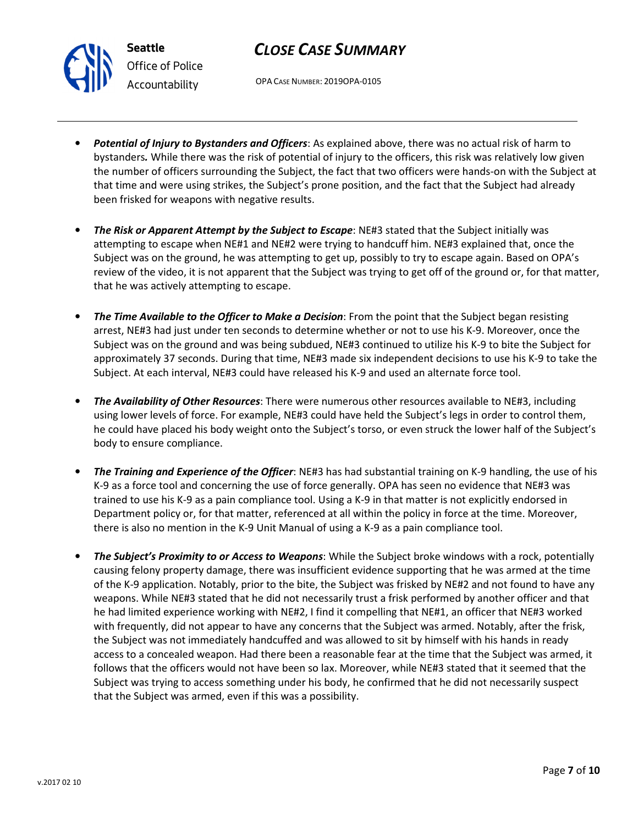OPA CASE NUMBER: 2019OPA-0105

- Potential of Injury to Bystanders and Officers: As explained above, there was no actual risk of harm to bystanders. While there was the risk of potential of injury to the officers, this risk was relatively low given the number of officers surrounding the Subject, the fact that two officers were hands-on with the Subject at that time and were using strikes, the Subject's prone position, and the fact that the Subject had already been frisked for weapons with negative results.
- The Risk or Apparent Attempt by the Subject to Escape: NE#3 stated that the Subject initially was attempting to escape when NE#1 and NE#2 were trying to handcuff him. NE#3 explained that, once the Subject was on the ground, he was attempting to get up, possibly to try to escape again. Based on OPA's review of the video, it is not apparent that the Subject was trying to get off of the ground or, for that matter, that he was actively attempting to escape.
- The Time Available to the Officer to Make a Decision: From the point that the Subject began resisting arrest, NE#3 had just under ten seconds to determine whether or not to use his K-9. Moreover, once the Subject was on the ground and was being subdued, NE#3 continued to utilize his K-9 to bite the Subject for approximately 37 seconds. During that time, NE#3 made six independent decisions to use his K-9 to take the Subject. At each interval, NE#3 could have released his K-9 and used an alternate force tool.
- The Availability of Other Resources: There were numerous other resources available to NE#3, including using lower levels of force. For example, NE#3 could have held the Subject's legs in order to control them, he could have placed his body weight onto the Subject's torso, or even struck the lower half of the Subject's body to ensure compliance.
- The Training and Experience of the Officer: NE#3 has had substantial training on K-9 handling, the use of his K-9 as a force tool and concerning the use of force generally. OPA has seen no evidence that NE#3 was trained to use his K-9 as a pain compliance tool. Using a K-9 in that matter is not explicitly endorsed in Department policy or, for that matter, referenced at all within the policy in force at the time. Moreover, there is also no mention in the K-9 Unit Manual of using a K-9 as a pain compliance tool.
- The Subject's Proximity to or Access to Weapons: While the Subject broke windows with a rock, potentially causing felony property damage, there was insufficient evidence supporting that he was armed at the time of the K-9 application. Notably, prior to the bite, the Subject was frisked by NE#2 and not found to have any weapons. While NE#3 stated that he did not necessarily trust a frisk performed by another officer and that he had limited experience working with NE#2, I find it compelling that NE#1, an officer that NE#3 worked with frequently, did not appear to have any concerns that the Subject was armed. Notably, after the frisk, the Subject was not immediately handcuffed and was allowed to sit by himself with his hands in ready access to a concealed weapon. Had there been a reasonable fear at the time that the Subject was armed, it follows that the officers would not have been so lax. Moreover, while NE#3 stated that it seemed that the Subject was trying to access something under his body, he confirmed that he did not necessarily suspect that the Subject was armed, even if this was a possibility.



Seattle

Office of Police Accountability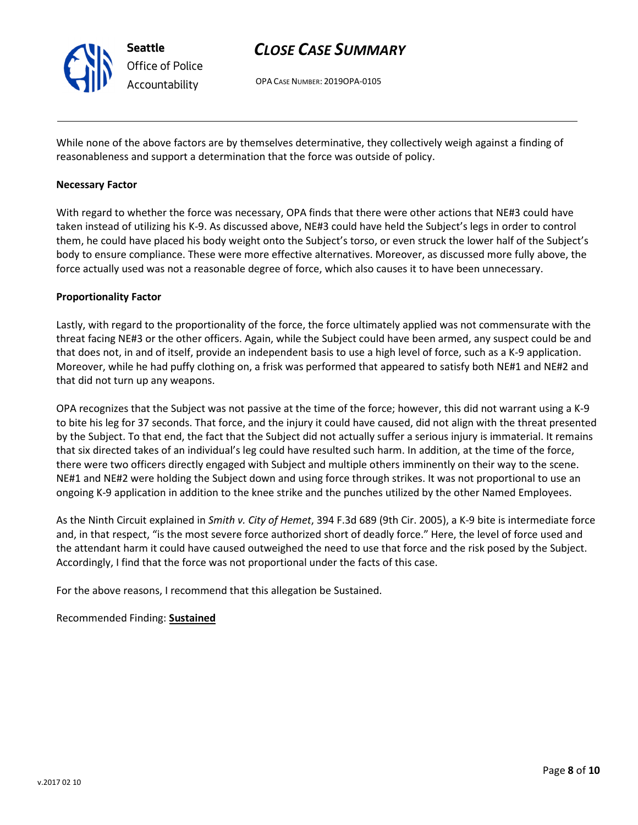

OPA CASE NUMBER: 2019OPA-0105

While none of the above factors are by themselves determinative, they collectively weigh against a finding of reasonableness and support a determination that the force was outside of policy.

#### Necessary Factor

With regard to whether the force was necessary, OPA finds that there were other actions that NE#3 could have taken instead of utilizing his K-9. As discussed above, NE#3 could have held the Subject's legs in order to control them, he could have placed his body weight onto the Subject's torso, or even struck the lower half of the Subject's body to ensure compliance. These were more effective alternatives. Moreover, as discussed more fully above, the force actually used was not a reasonable degree of force, which also causes it to have been unnecessary.

#### Proportionality Factor

Lastly, with regard to the proportionality of the force, the force ultimately applied was not commensurate with the threat facing NE#3 or the other officers. Again, while the Subject could have been armed, any suspect could be and that does not, in and of itself, provide an independent basis to use a high level of force, such as a K-9 application. Moreover, while he had puffy clothing on, a frisk was performed that appeared to satisfy both NE#1 and NE#2 and that did not turn up any weapons.

OPA recognizes that the Subject was not passive at the time of the force; however, this did not warrant using a K-9 to bite his leg for 37 seconds. That force, and the injury it could have caused, did not align with the threat presented by the Subject. To that end, the fact that the Subject did not actually suffer a serious injury is immaterial. It remains that six directed takes of an individual's leg could have resulted such harm. In addition, at the time of the force, there were two officers directly engaged with Subject and multiple others imminently on their way to the scene. NE#1 and NE#2 were holding the Subject down and using force through strikes. It was not proportional to use an ongoing K-9 application in addition to the knee strike and the punches utilized by the other Named Employees.

As the Ninth Circuit explained in Smith v. City of Hemet, 394 F.3d 689 (9th Cir. 2005), a K-9 bite is intermediate force and, in that respect, "is the most severe force authorized short of deadly force." Here, the level of force used and the attendant harm it could have caused outweighed the need to use that force and the risk posed by the Subject. Accordingly, I find that the force was not proportional under the facts of this case.

For the above reasons, I recommend that this allegation be Sustained.

Recommended Finding: Sustained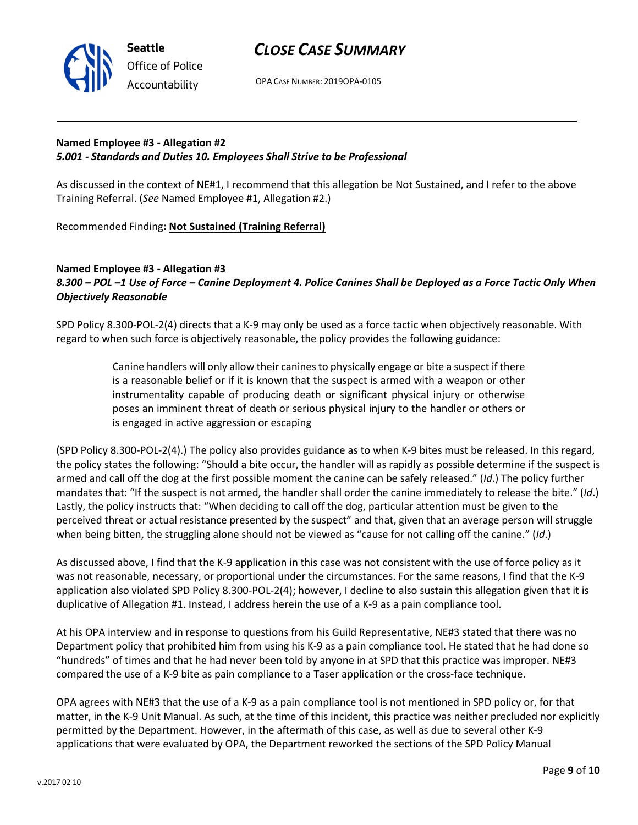



OPA CASE NUMBER: 2019OPA-0105

## Named Employee #3 - Allegation #2 5.001 - Standards and Duties 10. Employees Shall Strive to be Professional

As discussed in the context of NE#1, I recommend that this allegation be Not Sustained, and I refer to the above Training Referral. (See Named Employee #1, Allegation #2.)

Recommended Finding: Not Sustained (Training Referral)

### Named Employee #3 - Allegation #3 8.300 – POL –1 Use of Force – Canine Deployment 4. Police Canines Shall be Deployed as a Force Tactic Only When Objectively Reasonable

SPD Policy 8.300-POL-2(4) directs that a K-9 may only be used as a force tactic when objectively reasonable. With regard to when such force is objectively reasonable, the policy provides the following guidance:

> Canine handlers will only allow their canines to physically engage or bite a suspect if there is a reasonable belief or if it is known that the suspect is armed with a weapon or other instrumentality capable of producing death or significant physical injury or otherwise poses an imminent threat of death or serious physical injury to the handler or others or is engaged in active aggression or escaping

(SPD Policy 8.300-POL-2(4).) The policy also provides guidance as to when K-9 bites must be released. In this regard, the policy states the following: "Should a bite occur, the handler will as rapidly as possible determine if the suspect is armed and call off the dog at the first possible moment the canine can be safely released." (Id.) The policy further mandates that: "If the suspect is not armed, the handler shall order the canine immediately to release the bite." (Id.) Lastly, the policy instructs that: "When deciding to call off the dog, particular attention must be given to the perceived threat or actual resistance presented by the suspect" and that, given that an average person will struggle when being bitten, the struggling alone should not be viewed as "cause for not calling off the canine." (Id.)

As discussed above, I find that the K-9 application in this case was not consistent with the use of force policy as it was not reasonable, necessary, or proportional under the circumstances. For the same reasons, I find that the K-9 application also violated SPD Policy 8.300-POL-2(4); however, I decline to also sustain this allegation given that it is duplicative of Allegation #1. Instead, I address herein the use of a K-9 as a pain compliance tool.

At his OPA interview and in response to questions from his Guild Representative, NE#3 stated that there was no Department policy that prohibited him from using his K-9 as a pain compliance tool. He stated that he had done so "hundreds" of times and that he had never been told by anyone in at SPD that this practice was improper. NE#3 compared the use of a K-9 bite as pain compliance to a Taser application or the cross-face technique.

OPA agrees with NE#3 that the use of a K-9 as a pain compliance tool is not mentioned in SPD policy or, for that matter, in the K-9 Unit Manual. As such, at the time of this incident, this practice was neither precluded nor explicitly permitted by the Department. However, in the aftermath of this case, as well as due to several other K-9 applications that were evaluated by OPA, the Department reworked the sections of the SPD Policy Manual